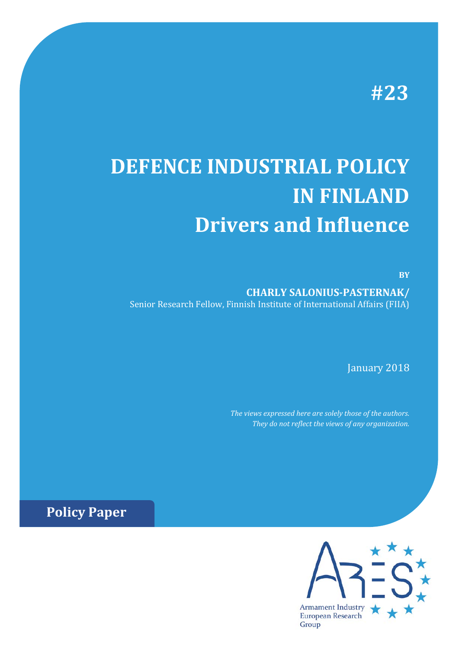# **#23**

# **DEFENCE INDUSTRIAL POLICY IN FINLAND Drivers and Influence**

**BY**

**CHARLY SALONIUS-PASTERNAK/** Senior Research Fellow, Finnish Institute of International Affairs (FIIA)

January 2018

*The views expressed here are solely those of the authors. They do not reflect the views of any organization.*

**Policy Paper**

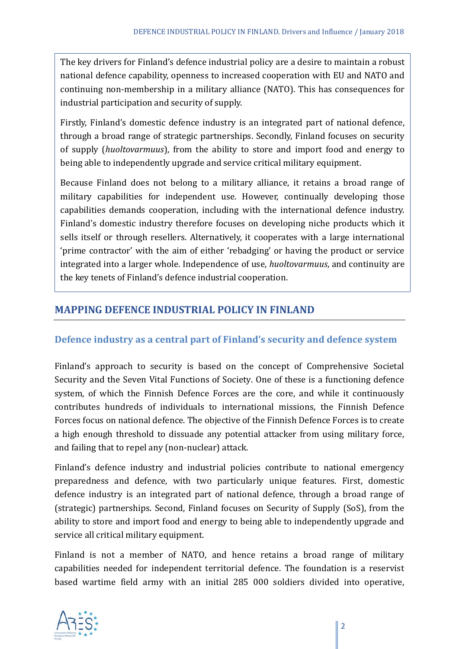The key drivers for Finland's defence industrial policy are a desire to maintain a robust national defence capability, openness to increased cooperation with EU and NATO and continuing non-membership in a military alliance (NATO). This has consequences for industrial participation and security of supply.

Firstly, Finland's domestic defence industry is an integrated part of national defence, through a broad range of strategic partnerships. Secondly, Finland focuses on security of supply (*huoltovarmuus*), from the ability to store and import food and energy to being able to independently upgrade and service critical military equipment.

Because Finland does not belong to a military alliance, it retains a broad range of military capabilities for independent use. However, continually developing those capabilities demands cooperation, including with the international defence industry. Finland's domestic industry therefore focuses on developing niche products which it sells itself or through resellers. Alternatively, it cooperates with a large international 'prime contractor' with the aim of either 'rebadging' or having the product or service integrated into a larger whole. Independence of use, *huoltovarmuus*, and continuity are the key tenets of Finland's defence industrial cooperation.

#### **MAPPING DEFENCE INDUSTRIAL POLICY IN FINLAND**

#### **Defence industry as a central part of Finland's security and defence system**

Finland's approach to security is based on the concept of Comprehensive Societal Security and the Seven Vital Functions of Society. One of these is a functioning defence system, of which the Finnish Defence Forces are the core, and while it continuously contributes hundreds of individuals to international missions, the Finnish Defence Forces focus on national defence. The objective of the Finnish Defence Forces is to create a high enough threshold to dissuade any potential attacker from using military force, and failing that to repel any (non-nuclear) attack.

Finland's defence industry and industrial policies contribute to national emergency preparedness and defence, with two particularly unique features. First, domestic defence industry is an integrated part of national defence, through a broad range of (strategic) partnerships. Second, Finland focuses on Security of Supply (SoS), from the ability to store and import food and energy to being able to independently upgrade and service all critical military equipment.

Finland is not a member of NATO, and hence retains a broad range of military capabilities needed for independent territorial defence. The foundation is a reservist based wartime field army with an initial 285 000 soldiers divided into operative,

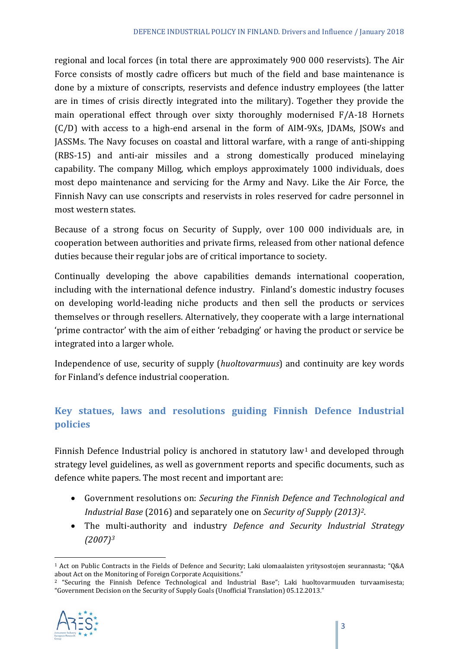regional and local forces (in total there are approximately 900 000 reservists). The Air Force consists of mostly cadre officers but much of the field and base maintenance is done by a mixture of conscripts, reservists and defence industry employees (the latter are in times of crisis directly integrated into the military). Together they provide the main operational effect through over sixty thoroughly modernised F/A-18 Hornets (C/D) with access to a high-end arsenal in the form of AIM-9Xs, JDAMs, JSOWs and JASSMs. The Navy focuses on coastal and littoral warfare, with a range of anti-shipping (RBS-15) and anti-air missiles and a strong domestically produced minelaying capability. The company Millog, which employs approximately 1000 individuals, does most depo maintenance and servicing for the Army and Navy. Like the Air Force, the Finnish Navy can use conscripts and reservists in roles reserved for cadre personnel in most western states.

Because of a strong focus on Security of Supply, over 100 000 individuals are, in cooperation between authorities and private firms, released from other national defence duties because their regular jobs are of critical importance to society.

Continually developing the above capabilities demands international cooperation, including with the international defence industry. Finland's domestic industry focuses on developing world-leading niche products and then sell the products or services themselves or through resellers. Alternatively, they cooperate with a large international 'prime contractor' with the aim of either 'rebadging' or having the product or service be integrated into a larger whole.

Independence of use, security of supply (*huoltovarmuus*) and continuity are key words for Finland's defence industrial cooperation.

### **Key statues, laws and resolutions guiding Finnish Defence Industrial policies**

Finnish Defence Industrial policy is anchored in statutory law<sup>[1](#page-2-0)</sup> and developed through strategy level guidelines, as well as government reports and specific documents, such as defence white papers. The most recent and important are:

- Government resolutions on: *Securing the Finnish Defence and Technological and Industrial Base* (2016) and separately one on *Security of Supply (2013)[2](#page-2-1)*.
- The multi-authority and industry *Defence and Security Industrial Strategy (2007)[3](#page-2-2)*

<span id="page-2-1"></span><span id="page-2-0"></span><sup>2</sup> "Securing the Finnish Defence Technological and Industrial Base"; Laki huoltovarmuuden turvaamisesta; "Government Decision on the Security of Supply Goals (Unofficial Translation) 05.12.2013."



<span id="page-2-2"></span> $\overline{a}$ <sup>1</sup> Act on Public Contracts in the Fields of Defence and Security; Laki ulomaalaisten yritysostojen seurannasta; "Q&A about Act on the Monitoring of Foreign Corporate Acquisitions."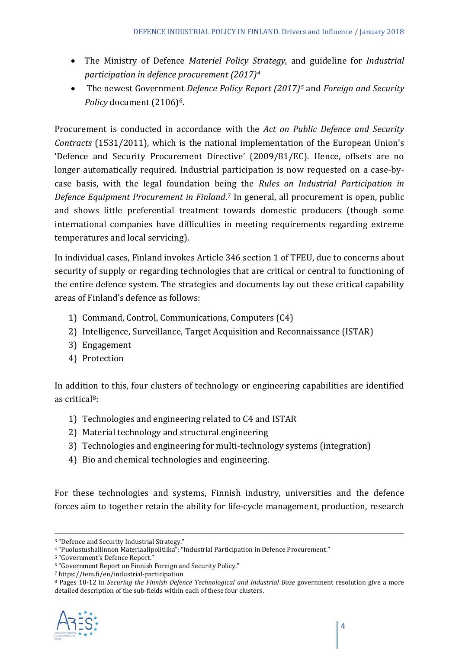- The Ministry of Defence *Materiel Policy Strategy,* and guideline for *Industrial participation in defence procurement (2017)[4](#page-3-0)*
- The newest Government *Defence Policy Report (2017)[5](#page-3-1)* and *Foreign and Security Policy* document (2106)[6](#page-3-2).

Procurement is conducted in accordance with the *Act on Public Defence and Security Contracts* (1531/2011), which is the national implementation of the European Union's 'Defence and Security Procurement Directive' (2009/81/EC). Hence, offsets are no longer automatically required. Industrial participation is now requested on a case-bycase basis, with the legal foundation being the *Rules on Industrial Participation in Defence Equipment Procurement in Finland*.[7](#page-3-3) In general, all procurement is open, public and shows little preferential treatment towards domestic producers (though some international companies have difficulties in meeting requirements regarding extreme temperatures and local servicing).

In individual cases, Finland invokes Article 346 section 1 of TFEU, due to concerns about security of supply or regarding technologies that are critical or central to functioning of the entire defence system. The strategies and documents lay out these critical capability areas of Finland's defence as follows:

- 1) Command, Control, Communications, Computers (C4)
- 2) Intelligence, Surveillance, Target Acquisition and Reconnaissance (ISTAR)
- 3) Engagement
- 4) Protection

In addition to this, four clusters of technology or engineering capabilities are identified as critica[l8:](#page-3-4)

- 1) Technologies and engineering related to C4 and ISTAR
- 2) Material technology and structural engineering
- 3) Technologies and engineering for multi-technology systems (integration)
- 4) Bio and chemical technologies and engineering.

For these technologies and systems, Finnish industry, universities and the defence forces aim to together retain the ability for life-cycle management, production, research

<span id="page-3-4"></span><span id="page-3-3"></span><sup>8</sup> Pages 10-12 in *Securing the Finnish Defence Technological and Industrial Base* government resolution give a more detailed description of the sub-fields within each of these four clusters.



<sup>&</sup>lt;u>.</u> <sup>3</sup> "Defence and Security Industrial Strategy."

<span id="page-3-0"></span><sup>4</sup> "Puolustushallinnon Materiaalipolitiika"; "Industrial Participation in Defence Procurement."

<sup>5</sup> "Government's Defence Report."

<span id="page-3-2"></span><span id="page-3-1"></span><sup>6</sup> "Government Report on Finnish Foreign and Security Policy."

<sup>7</sup> https://tem.fi/en/industrial-participation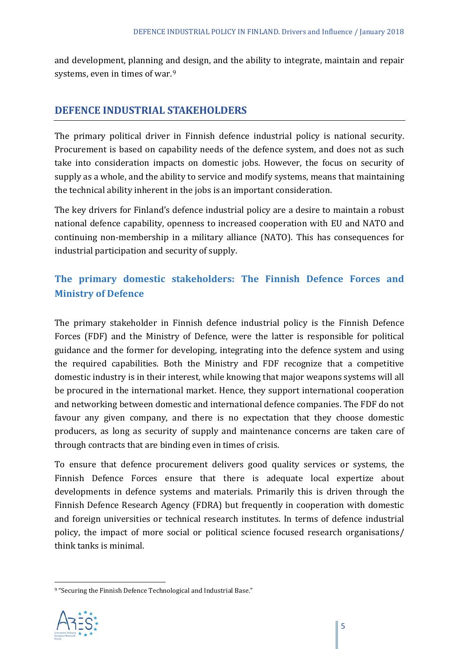and development, planning and design, and the ability to integrate, maintain and repair systems, even in times of war.[9](#page-4-0)

#### **DEFENCE INDUSTRIAL STAKEHOLDERS**

The primary political driver in Finnish defence industrial policy is national security. Procurement is based on capability needs of the defence system, and does not as such take into consideration impacts on domestic jobs. However, the focus on security of supply as a whole, and the ability to service and modify systems, means that maintaining the technical ability inherent in the jobs is an important consideration.

The key drivers for Finland's defence industrial policy are a desire to maintain a robust national defence capability, openness to increased cooperation with EU and NATO and continuing non-membership in a military alliance (NATO). This has consequences for industrial participation and security of supply.

## **The primary domestic stakeholders: The Finnish Defence Forces and Ministry of Defence**

The primary stakeholder in Finnish defence industrial policy is the Finnish Defence Forces (FDF) and the Ministry of Defence, were the latter is responsible for political guidance and the former for developing, integrating into the defence system and using the required capabilities. Both the Ministry and FDF recognize that a competitive domestic industry is in their interest, while knowing that major weapons systems will all be procured in the international market. Hence, they support international cooperation and networking between domestic and international defence companies. The FDF do not favour any given company, and there is no expectation that they choose domestic producers, as long as security of supply and maintenance concerns are taken care of through contracts that are binding even in times of crisis.

To ensure that defence procurement delivers good quality services or systems, the Finnish Defence Forces ensure that there is adequate local expertize about developments in defence systems and materials. Primarily this is driven through the Finnish Defence Research Agency (FDRA) but frequently in cooperation with domestic and foreign universities or technical research institutes. In terms of defence industrial policy, the impact of more social or political science focused research organisations/ think tanks is minimal.

<span id="page-4-0"></span><sup>9</sup> "Securing the Finnish Defence Technological and Industrial Base."



**.**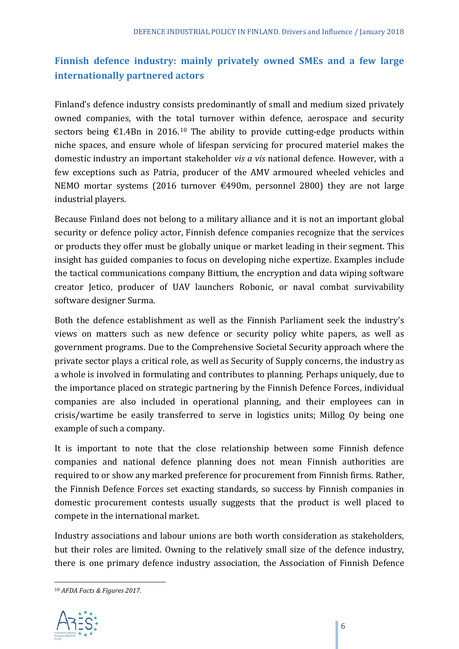## **Finnish defence industry: mainly privately owned SMEs and a few large internationally partnered actors**

Finland's defence industry consists predominantly of small and medium sized privately owned companies, with the total turnover within defence, aerospace and security sectors being  $\epsilon$ 1.4Bn in 2016.<sup>[10](#page-5-0)</sup> The ability to provide cutting-edge products within niche spaces, and ensure whole of lifespan servicing for procured materiel makes the domestic industry an important stakeholder *vis a vis* national defence. However, with a few exceptions such as Patria, producer of the AMV armoured wheeled vehicles and NEMO mortar systems (2016 turnover  $\epsilon$ 490m, personnel 2800) they are not large industrial players.

Because Finland does not belong to a military alliance and it is not an important global security or defence policy actor, Finnish defence companies recognize that the services or products they offer must be globally unique or market leading in their segment. This insight has guided companies to focus on developing niche expertize. Examples include the tactical communications company Bittium, the encryption and data wiping software creator Jetico, producer of UAV launchers Robonic, or naval combat survivability software designer Surma.

Both the defence establishment as well as the Finnish Parliament seek the industry's views on matters such as new defence or security policy white papers, as well as government programs. Due to the Comprehensive Societal Security approach where the private sector plays a critical role, as well as Security of Supply concerns, the industry as a whole is involved in formulating and contributes to planning. Perhaps uniquely, due to the importance placed on strategic partnering by the Finnish Defence Forces, individual companies are also included in operational planning, and their employees can in crisis/wartime be easily transferred to serve in logistics units; Millog Oy being one example of such a company.

It is important to note that the close relationship between some Finnish defence companies and national defence planning does not mean Finnish authorities are required to or show any marked preference for procurement from Finnish firms. Rather, the Finnish Defence Forces set exacting standards, so success by Finnish companies in domestic procurement contests usually suggests that the product is well placed to compete in the international market.

Industry associations and labour unions are both worth consideration as stakeholders, but their roles are limited. Owning to the relatively small size of the defence industry, there is one primary defence industry association, the Association of Finnish Defence

<span id="page-5-0"></span><sup>10</sup> *AFDA Facts & Figures 2017*.



**.**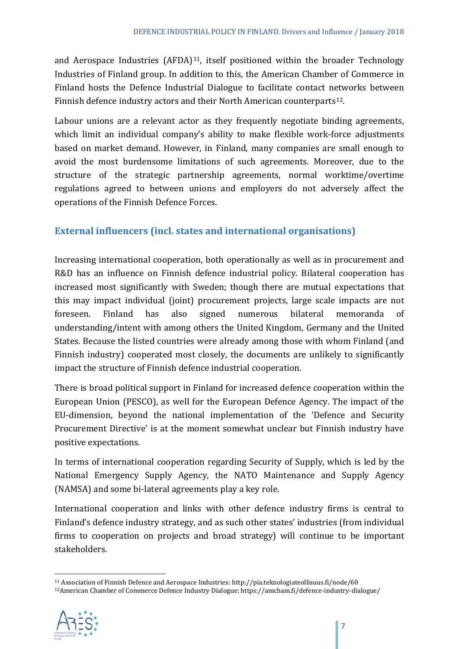and Aerospace Industries (AFDA)<sup>11</sup>, itself positioned within the broader Technology Industries of Finland group. In addition to this, the American Chamber of Commerce in Finland hosts the Defence Industrial Dialogue to facilitate contact networks between Finnish defence industry actors and their North American counterparts<sup>[12](#page-6-1)</sup>.

Labour unions are a relevant actor as they frequently negotiate binding agreements, which limit an individual company's ability to make flexible work-force adjustments based on market demand. However, in Finland, many companies are small enough to avoid the most burdensome limitations of such agreements. Moreover, due to the structure of the strategic partnership agreements, normal worktime/overtime regulations agreed to between unions and employers do not adversely affect the operations of the Finnish Defence Forces.

#### **External influencers (incl. states and international organisations)**

Increasing international cooperation, both operationally as well as in procurement and R&D has an influence on Finnish defence industrial policy. Bilateral cooperation has increased most significantly with Sweden; though there are mutual expectations that this may impact individual (joint) procurement projects, large scale impacts are not foreseen. Finland has also signed numerous bilateral memoranda of understanding/intent with among others the United Kingdom, Germany and the United States. Because the listed countries were already among those with whom Finland (and Finnish industry) cooperated most closely, the documents are unlikely to significantly impact the structure of Finnish defence industrial cooperation.

There is broad political support in Finland for increased defence cooperation within the European Union (PESCO), as well for the European Defence Agency. The impact of the EU-dimension, beyond the national implementation of the 'Defence and Security Procurement Directive' is at the moment somewhat unclear but Finnish industry have positive expectations.

In terms of international cooperation regarding Security of Supply, which is led by the National Emergency Supply Agency, the NATO Maintenance and Supply Agency (NAMSA) and some bi-lateral agreements play a key role.

International cooperation and links with other defence industry firms is central to Finland's defence industry strategy, and as such other states' industries (from individual firms to cooperation on projects and broad strategy) will continue to be important stakeholders.

<span id="page-6-1"></span><span id="page-6-0"></span><sup>12</sup>American Chamber of Commerce Defence Industry Dialogue: https://amcham.fi/defence-industry-dialogue/



 $\overline{a}$ <sup>11</sup> Association of Finnish Defence and Aerospace Industries: http://pia.teknologiateollisuus.fi/node/60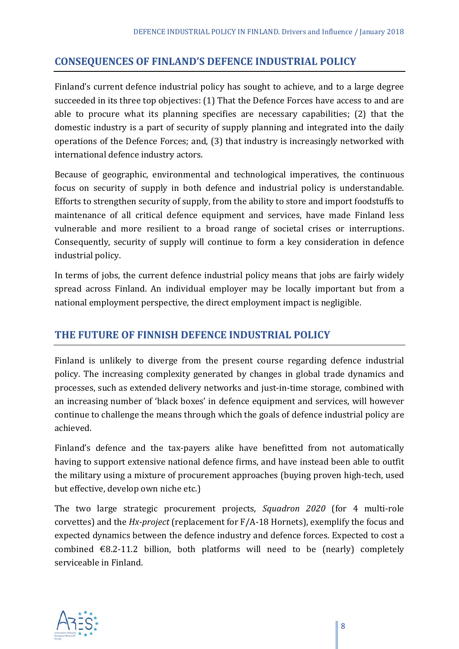#### **CONSEQUENCES OF FINLAND'S DEFENCE INDUSTRIAL POLICY**

Finland's current defence industrial policy has sought to achieve, and to a large degree succeeded in its three top objectives: (1) That the Defence Forces have access to and are able to procure what its planning specifies are necessary capabilities; (2) that the domestic industry is a part of security of supply planning and integrated into the daily operations of the Defence Forces; and, (3) that industry is increasingly networked with international defence industry actors.

Because of geographic, environmental and technological imperatives, the continuous focus on security of supply in both defence and industrial policy is understandable. Efforts to strengthen security of supply, from the ability to store and import foodstuffs to maintenance of all critical defence equipment and services, have made Finland less vulnerable and more resilient to a broad range of societal crises or interruptions. Consequently, security of supply will continue to form a key consideration in defence industrial policy.

In terms of jobs, the current defence industrial policy means that jobs are fairly widely spread across Finland. An individual employer may be locally important but from a national employment perspective, the direct employment impact is negligible.

#### **THE FUTURE OF FINNISH DEFENCE INDUSTRIAL POLICY**

Finland is unlikely to diverge from the present course regarding defence industrial policy. The increasing complexity generated by changes in global trade dynamics and processes, such as extended delivery networks and just-in-time storage, combined with an increasing number of 'black boxes' in defence equipment and services, will however continue to challenge the means through which the goals of defence industrial policy are achieved.

Finland's defence and the tax-payers alike have benefitted from not automatically having to support extensive national defence firms, and have instead been able to outfit the military using a mixture of procurement approaches (buying proven high-tech, used but effective, develop own niche etc.)

The two large strategic procurement projects, *Squadron 2020* (for 4 multi-role corvettes) and the *Hx-project* (replacement for F/A-18 Hornets), exemplify the focus and expected dynamics between the defence industry and defence forces. Expected to cost a combined  $\epsilon$ 8.2-11.2 billion, both platforms will need to be (nearly) completely serviceable in Finland.

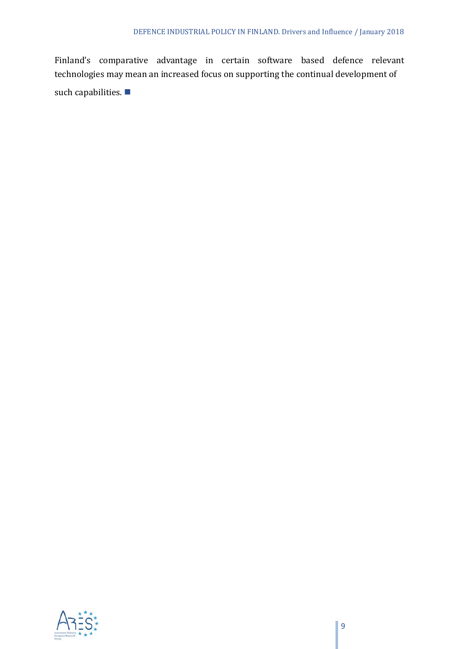Finland's comparative advantage in certain software based defence relevant technologies may mean an increased focus on supporting the continual development of such capabilities.

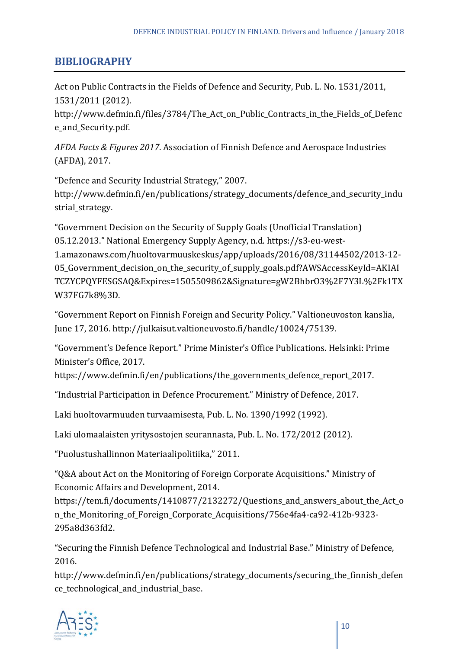#### **BIBLIOGRAPHY**

Act on Public Contracts in the Fields of Defence and Security, Pub. L. No. 1531/2011, 1531/2011 (2012).

http://www.defmin.fi/files/3784/The Act on Public Contracts in the Fields of Defenc e\_and\_Security.pdf.

*AFDA Facts & Figures 2017*. Association of Finnish Defence and Aerospace Industries (AFDA), 2017.

"Defence and Security Industrial Strategy," 2007. http://www.defmin.fi/en/publications/strategy\_documents/defence\_and\_security\_indu strial strategy.

"Government Decision on the Security of Supply Goals (Unofficial Translation) 05.12.2013." National Emergency Supply Agency, n.d. https://s3-eu-west-1.amazonaws.com/huoltovarmuuskeskus/app/uploads/2016/08/31144502/2013-12- 05\_Government\_decision\_on\_the\_security\_of\_supply\_goals.pdf?AWSAccessKeyId=AKIAI TCZYCPQYFESGSAQ&Expires=1505509862&Signature=gW2BhbrO3%2F7Y3L%2Fk1TX W37FG7k8%3D.

"Government Report on Finnish Foreign and Security Policy." Valtioneuvoston kanslia, June 17, 2016. http://julkaisut.valtioneuvosto.fi/handle/10024/75139.

"Government's Defence Report." Prime Minister's Office Publications. Helsinki: Prime Minister's Office, 2017.

https://www.defmin.fi/en/publications/the\_governments\_defence\_report\_2017.

"Industrial Participation in Defence Procurement." Ministry of Defence, 2017.

Laki huoltovarmuuden turvaamisesta, Pub. L. No. 1390/1992 (1992).

Laki ulomaalaisten yritysostojen seurannasta, Pub. L. No. 172/2012 (2012).

"Puolustushallinnon Materiaalipolitiika," 2011.

"Q&A about Act on the Monitoring of Foreign Corporate Acquisitions." Ministry of Economic Affairs and Development, 2014.

https://tem.fi/documents/1410877/2132272/Questions\_and\_answers\_about\_the\_Act\_o n\_the\_Monitoring\_of\_Foreign\_Corporate\_Acquisitions/756e4fa4-ca92-412b-9323- 295a8d363fd2.

"Securing the Finnish Defence Technological and Industrial Base." Ministry of Defence, 2016.

http://www.defmin.fi/en/publications/strategy\_documents/securing\_the\_finnish\_defen ce\_technological\_and\_industrial\_base.